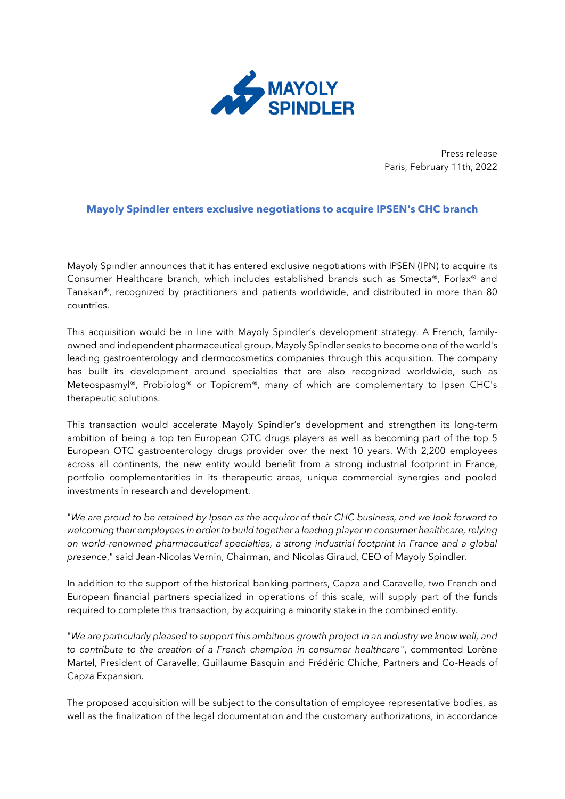

Press release Paris, February 11th, 2022

## **Mayoly Spindler enters exclusive negotiations to acquire IPSEN's CHC branch**

Mayoly Spindler announces that it has entered exclusive negotiations with IPSEN (IPN) to acquire its Consumer Healthcare branch, which includes established brands such as Smecta®, Forlax® and Tanakan®, recognized by practitioners and patients worldwide, and distributed in more than 80 countries.

This acquisition would be in line with Mayoly Spindler's development strategy. A French, familyowned and independent pharmaceutical group, Mayoly Spindler seeks to become one of the world's leading gastroenterology and dermocosmetics companies through this acquisition. The company has built its development around specialties that are also recognized worldwide, such as Meteospasmyl®, Probiolog® or Topicrem®, many of which are complementary to Ipsen CHC's therapeutic solutions.

This transaction would accelerate Mayoly Spindler's development and strengthen its long-term ambition of being a top ten European OTC drugs players as well as becoming part of the top 5 European OTC gastroenterology drugs provider over the next 10 years. With 2,200 employees across all continents, the new entity would benefit from a strong industrial footprint in France, portfolio complementarities in its therapeutic areas, unique commercial synergies and pooled investments in research and development.

"*We are proud to be retained by Ipsen as the acquiror of their CHC business, and we look forward to welcoming their employees in order to build together a leading player in consumer healthcare, relying on world-renowned pharmaceutical specialties, a strong industrial footprint in France and a global presence*," said Jean-Nicolas Vernin, Chairman, and Nicolas Giraud, CEO of Mayoly Spindler.

In addition to the support of the historical banking partners, Capza and Caravelle, two French and European financial partners specialized in operations of this scale, will supply part of the funds required to complete this transaction, by acquiring a minority stake in the combined entity.

"*We are particularly pleased to support this ambitious growth project in an industry we know well, and to contribute to the creation of a French champion in consumer healthcare*", commented Lorène Martel, President of Caravelle, Guillaume Basquin and Frédéric Chiche, Partners and Co-Heads of Capza Expansion.

The proposed acquisition will be subject to the consultation of employee representative bodies, as well as the finalization of the legal documentation and the customary authorizations, in accordance